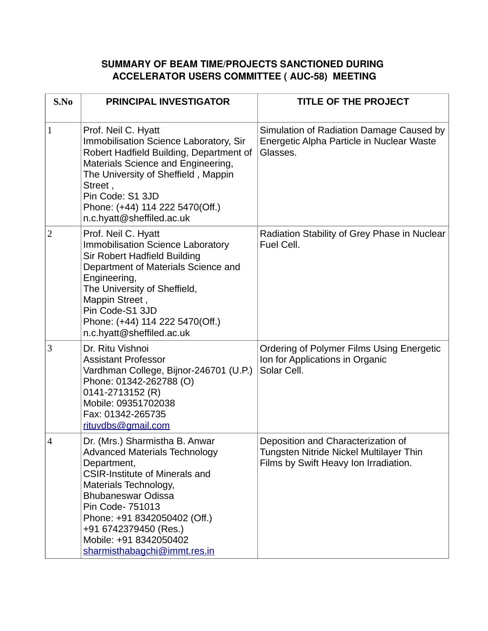## **SUMMARY OF BEAM TIME/PROJECTS SANCTIONED DURING ACCELERATOR USERS COMMITTEE ( AUC-58) MEETING**

| S.No           | <b>PRINCIPAL INVESTIGATOR</b>                                                                                                                                                                                                                                                                                               | <b>TITLE OF THE PROJECT</b>                                                                                            |
|----------------|-----------------------------------------------------------------------------------------------------------------------------------------------------------------------------------------------------------------------------------------------------------------------------------------------------------------------------|------------------------------------------------------------------------------------------------------------------------|
| $\mathbf{1}$   | Prof. Neil C. Hyatt<br><b>Immobilisation Science Laboratory, Sir</b><br>Robert Hadfield Building, Department of<br>Materials Science and Engineering,<br>The University of Sheffield, Mappin<br>Street,<br>Pin Code: S1 3JD<br>Phone: (+44) 114 222 5470(Off.)<br>n.c.hyatt@sheffiled.ac.uk                                 | Simulation of Radiation Damage Caused by<br>Energetic Alpha Particle in Nuclear Waste<br>Glasses.                      |
| $\overline{2}$ | Prof. Neil C. Hyatt<br><b>Immobilisation Science Laboratory</b><br>Sir Robert Hadfield Building<br>Department of Materials Science and<br>Engineering,<br>The University of Sheffield,<br>Mappin Street,<br>Pin Code-S1 3JD<br>Phone: (+44) 114 222 5470(Off.)<br>n.c.hyatt@sheffiled.ac.uk                                 | Radiation Stability of Grey Phase in Nuclear<br>Fuel Cell.                                                             |
| 3              | Dr. Ritu Vishnoi<br><b>Assistant Professor</b><br>Vardhman College, Bijnor-246701 (U.P.)<br>Phone: 01342-262788 (O)<br>0141-2713152 (R)<br>Mobile: 09351702038<br>Fax: 01342-265735<br>rituvdbs@gmail.com                                                                                                                   | Ordering of Polymer Films Using Energetic<br>Ion for Applications in Organic<br>Solar Cell.                            |
| $\overline{4}$ | Dr. (Mrs.) Sharmistha B. Anwar<br><b>Advanced Materials Technology</b><br>Department,<br><b>CSIR-Institute of Minerals and</b><br>Materials Technology,<br><b>Bhubaneswar Odissa</b><br>Pin Code- 751013<br>Phone: +91 8342050402 (Off.)<br>+91 6742379450 (Res.)<br>Mobile: +91 8342050402<br>sharmisthabagchi@immt.res.in | Deposition and Characterization of<br>Tungsten Nitride Nickel Multilayer Thin<br>Films by Swift Heavy Ion Irradiation. |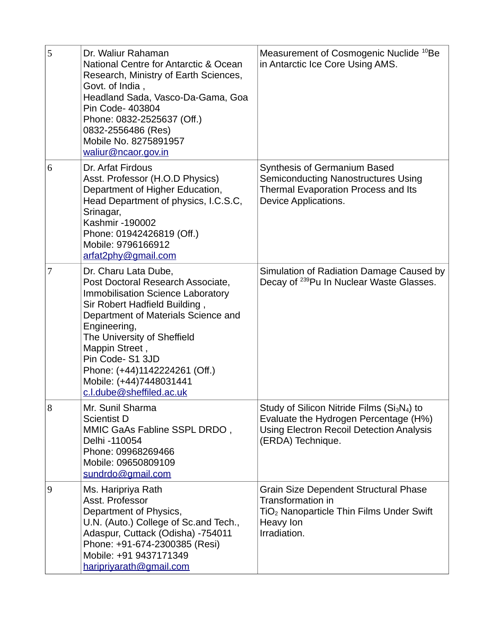| 5 | Dr. Waliur Rahaman<br>National Centre for Antarctic & Ocean<br>Research, Ministry of Earth Sciences,<br>Govt. of India,<br>Headland Sada, Vasco-Da-Gama, Goa<br>Pin Code- 403804<br>Phone: 0832-2525637 (Off.)<br>0832-2556486 (Res)<br>Mobile No. 8275891957<br>waliur@ncaor.gov.in                                                               | Measurement of Cosmogenic Nuclide <sup>10</sup> Be<br>in Antarctic Ice Core Using AMS.                                                                                        |
|---|----------------------------------------------------------------------------------------------------------------------------------------------------------------------------------------------------------------------------------------------------------------------------------------------------------------------------------------------------|-------------------------------------------------------------------------------------------------------------------------------------------------------------------------------|
| 6 | Dr. Arfat Firdous<br>Asst. Professor (H.O.D Physics)<br>Department of Higher Education,<br>Head Department of physics, I.C.S.C,<br>Srinagar,<br>Kashmir -190002<br>Phone: 01942426819 (Off.)<br>Mobile: 9796166912<br>arfat2phy@gmail.com                                                                                                          | <b>Synthesis of Germanium Based</b><br>Semiconducting Nanostructures Using<br><b>Thermal Evaporation Process and Its</b><br>Device Applications.                              |
| 7 | Dr. Charu Lata Dube,<br>Post Doctoral Research Associate,<br>Immobilisation Science Laboratory<br>Sir Robert Hadfield Building,<br>Department of Materials Science and<br>Engineering,<br>The University of Sheffield<br>Mappin Street,<br>Pin Code-S1 3JD<br>Phone: (+44)1142224261 (Off.)<br>Mobile: (+44)7448031441<br>c.l.dube@sheffiled.ac.uk | Simulation of Radiation Damage Caused by<br>Decay of <sup>239</sup> Pu In Nuclear Waste Glasses.                                                                              |
| 8 | Mr. Sunil Sharma<br><b>Scientist D</b><br>MMIC GaAs Fabline SSPL DRDO,<br>Delhi -110054<br>Phone: 09968269466<br>Mobile: 09650809109<br>sundrdo@gmail.com                                                                                                                                                                                          | Study of Silicon Nitride Films (Si <sub>3</sub> N <sub>4</sub> ) to<br>Evaluate the Hydrogen Percentage (H%)<br>Using Electron Recoil Detection Analysis<br>(ERDA) Technique. |
| 9 | Ms. Haripriya Rath<br>Asst. Professor<br>Department of Physics,<br>U.N. (Auto.) College of Sc.and Tech.,<br>Adaspur, Cuttack (Odisha) -754011<br>Phone: +91-674-2300385 (Resi)<br>Mobile: +91 9437171349<br>haripriyarath@gmail.com                                                                                                                | Grain Size Dependent Structural Phase<br><b>Transformation in</b><br>TiO <sub>2</sub> Nanoparticle Thin Films Under Swift<br>Heavy Ion<br>Irradiation.                        |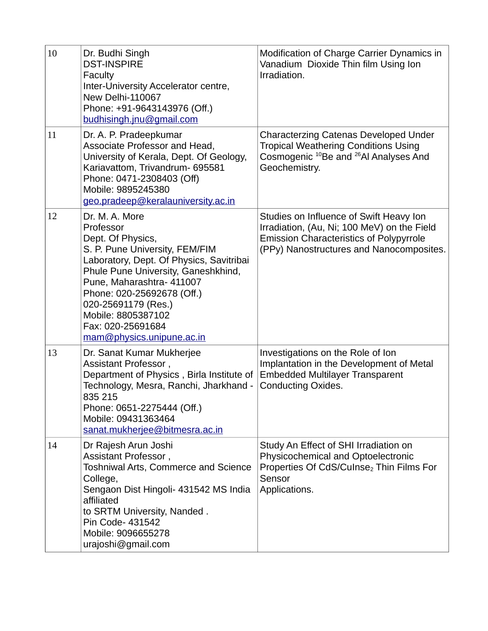| 10 | Dr. Budhi Singh<br><b>DST-INSPIRE</b><br><b>Faculty</b><br>Inter-University Accelerator centre,<br>New Delhi-110067<br>Phone: +91-9643143976 (Off.)<br>budhisingh.jnu@gmail.com                                                                                                                                                 | Modification of Charge Carrier Dynamics in<br>Vanadium Dioxide Thin film Using Ion<br>Irradiation.                                                                                   |
|----|---------------------------------------------------------------------------------------------------------------------------------------------------------------------------------------------------------------------------------------------------------------------------------------------------------------------------------|--------------------------------------------------------------------------------------------------------------------------------------------------------------------------------------|
| 11 | Dr. A. P. Pradeepkumar<br>Associate Professor and Head.<br>University of Kerala, Dept. Of Geology,<br>Kariavattom, Trivandrum- 695581<br>Phone: 0471-2308403 (Off)<br>Mobile: 9895245380<br>geo.pradeep@keralauniversity.ac.in                                                                                                  | <b>Characterzing Catenas Developed Under</b><br><b>Tropical Weathering Conditions Using</b><br>Cosmogenic <sup>10</sup> Be and <sup>26</sup> Al Analyses And<br>Geochemistry.        |
| 12 | Dr. M. A. More<br>Professor<br>Dept. Of Physics,<br>S. P. Pune University, FEM/FIM<br>Laboratory, Dept. Of Physics, Savitribai<br>Phule Pune University, Ganeshkhind,<br>Pune, Maharashtra- 411007<br>Phone: 020-25692678 (Off.)<br>020-25691179 (Res.)<br>Mobile: 8805387102<br>Fax: 020-25691684<br>mam@physics.unipune.ac.in | Studies on Influence of Swift Heavy Ion<br>Irradiation, (Au, Ni; 100 MeV) on the Field<br><b>Emission Characteristics of Polypyrrole</b><br>(PPy) Nanostructures and Nanocomposites. |
| 13 | Dr. Sanat Kumar Mukherjee<br>Assistant Professor,<br>Department of Physics, Birla Institute of<br>Technology, Mesra, Ranchi, Jharkhand -<br>835 215<br>Phone: 0651-2275444 (Off.)<br>Mobile: 09431363464<br>sanat.mukherjee@bitmesra.ac.in                                                                                      | Investigations on the Role of Ion<br>Implantation in the Development of Metal<br><b>Embedded Multilayer Transparent</b><br><b>Conducting Oxides.</b>                                 |
| 14 | Dr Rajesh Arun Joshi<br>Assistant Professor,<br><b>Toshniwal Arts, Commerce and Science</b><br>College,<br>Sengaon Dist Hingoli- 431542 MS India<br>affiliated<br>to SRTM University, Nanded.<br>Pin Code- 431542<br>Mobile: 9096655278<br>urajoshi@gmail.com                                                                   | Study An Effect of SHI Irradiation on<br>Physicochemical and Optoelectronic<br>Properties Of CdS/Culnse <sub>2</sub> Thin Films For<br>Sensor<br>Applications.                       |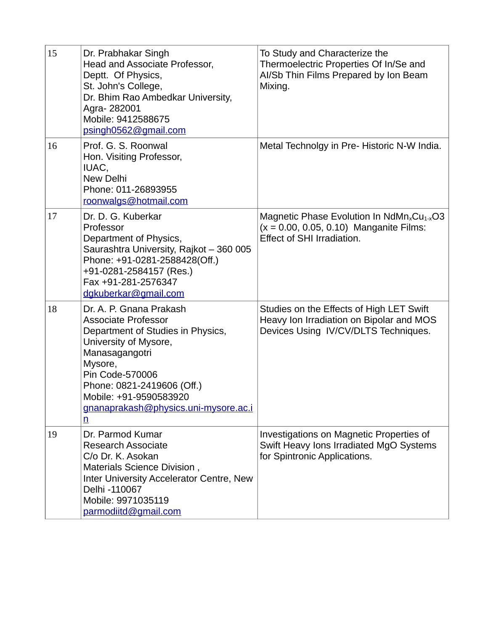| 15 | Dr. Prabhakar Singh<br>Head and Associate Professor,<br>Deptt. Of Physics,<br>St. John's College,<br>Dr. Bhim Rao Ambedkar University,<br>Agra-282001<br>Mobile: 9412588675<br>psingh0562@gmail.com                                                                                    | To Study and Characterize the<br>Thermoelectric Properties Of In/Se and<br>AI/Sb Thin Films Prepared by Ion Beam<br>Mixing.       |
|----|----------------------------------------------------------------------------------------------------------------------------------------------------------------------------------------------------------------------------------------------------------------------------------------|-----------------------------------------------------------------------------------------------------------------------------------|
| 16 | Prof. G. S. Roonwal<br>Hon. Visiting Professor,<br>IUAC,<br>New Delhi<br>Phone: 011-26893955<br>roonwalgs@hotmail.com                                                                                                                                                                  | Metal Technolgy in Pre- Historic N-W India.                                                                                       |
| 17 | Dr. D. G. Kuberkar<br>Professor<br>Department of Physics,<br>Saurashtra University, Rajkot - 360 005<br>Phone: +91-0281-2588428(Off.)<br>+91-0281-2584157 (Res.)<br>Fax +91-281-2576347<br>dgkuberkar@gmail.com                                                                        | Magnetic Phase Evolution In $N dMn_xCu_{1-x}O3$<br>$(x = 0.00, 0.05, 0.10)$ Manganite Films:<br><b>Effect of SHI Irradiation.</b> |
| 18 | Dr. A. P. Gnana Prakash<br><b>Associate Professor</b><br>Department of Studies in Physics,<br>University of Mysore,<br>Manasagangotri<br>Mysore,<br>Pin Code-570006<br>Phone: 0821-2419606 (Off.)<br>Mobile: +91-9590583920<br>gnanaprakash@physics.uni-mysore.ac.i<br>$\underline{n}$ | Studies on the Effects of High LET Swift<br>Heavy Ion Irradiation on Bipolar and MOS<br>Devices Using IV/CV/DLTS Techniques.      |
| 19 | Dr. Parmod Kumar<br><b>Research Associate</b><br>C/o Dr. K. Asokan<br>Materials Science Division,<br>Inter University Accelerator Centre, New<br>Delhi -110067<br>Mobile: 9971035119<br>parmodiitd@gmail.com                                                                           | Investigations on Magnetic Properties of<br>Swift Heavy Ions Irradiated MgO Systems<br>for Spintronic Applications.               |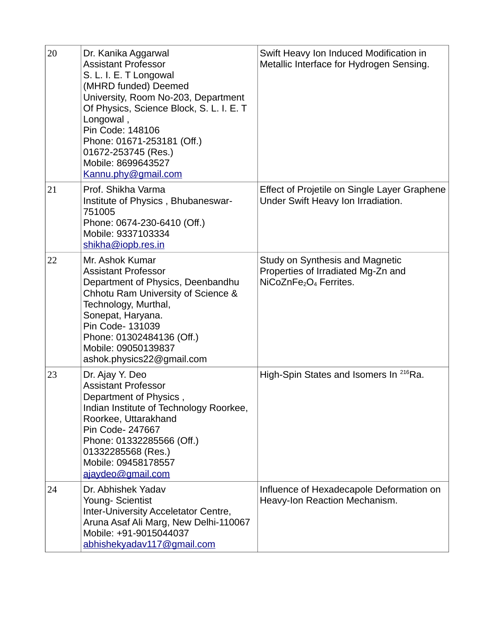| 20 | Dr. Kanika Aggarwal<br><b>Assistant Professor</b><br>S. L. I. E. T Longowal<br>(MHRD funded) Deemed<br>University, Room No-203, Department<br>Of Physics, Science Block, S. L. I. E. T<br>Longowal,<br>Pin Code: 148106<br>Phone: 01671-253181 (Off.)<br>01672-253745 (Res.)<br>Mobile: 8699643527<br>Kannu.phy@gmail.com | Swift Heavy Ion Induced Modification in<br>Metallic Interface for Hydrogen Sensing.                                     |
|----|---------------------------------------------------------------------------------------------------------------------------------------------------------------------------------------------------------------------------------------------------------------------------------------------------------------------------|-------------------------------------------------------------------------------------------------------------------------|
| 21 | Prof. Shikha Varma<br>Institute of Physics, Bhubaneswar-<br>751005<br>Phone: 0674-230-6410 (Off.)<br>Mobile: 9337103334<br>shikha@iopb.res.in                                                                                                                                                                             | Effect of Projetile on Single Layer Graphene<br>Under Swift Heavy Ion Irradiation.                                      |
| 22 | Mr. Ashok Kumar<br><b>Assistant Professor</b><br>Department of Physics, Deenbandhu<br>Chhotu Ram University of Science &<br>Technology, Murthal,<br>Sonepat, Haryana.<br>Pin Code- 131039<br>Phone: 01302484136 (Off.)<br>Mobile: 09050139837<br>ashok.physics22@gmail.com                                                | Study on Synthesis and Magnetic<br>Properties of Irradiated Mg-Zn and<br>NiCoZnFe <sub>2</sub> O <sub>4</sub> Ferrites. |
| 23 | Dr. Ajay Y. Deo<br><b>Assistant Professor</b><br>Department of Physics,<br>Indian Institute of Technology Roorkee,<br>Roorkee, Uttarakhand<br>Pin Code- 247667<br>Phone: 01332285566 (Off.)<br>01332285568 (Res.)<br>Mobile: 09458178557<br>ajaydeo@gmail.com                                                             | High-Spin States and Isomers In <sup>216</sup> Ra.                                                                      |
| 24 | Dr. Abhishek Yadav<br>Young- Scientist<br>Inter-University Acceletator Centre,<br>Aruna Asaf Ali Marg, New Delhi-110067<br>Mobile: +91-9015044037<br>abhishekyadav117@gmail.com                                                                                                                                           | Influence of Hexadecapole Deformation on<br>Heavy-Ion Reaction Mechanism.                                               |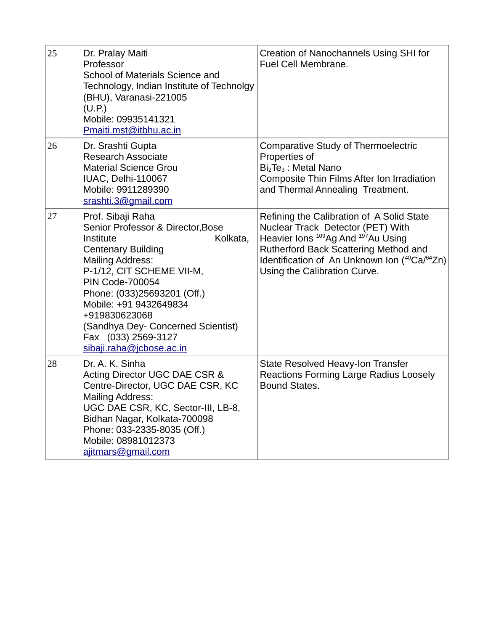| 25 | Dr. Pralay Maiti<br>Professor<br>School of Materials Science and<br>Technology, Indian Institute of Technolgy<br>(BHU), Varanasi-221005<br>(U.P.)<br>Mobile: 09935141321<br>Pmaiti.mst@itbhu.ac.in                                                                                                                                                                | Creation of Nanochannels Using SHI for<br>Fuel Cell Membrane.                                                                                                                                                                                                         |
|----|-------------------------------------------------------------------------------------------------------------------------------------------------------------------------------------------------------------------------------------------------------------------------------------------------------------------------------------------------------------------|-----------------------------------------------------------------------------------------------------------------------------------------------------------------------------------------------------------------------------------------------------------------------|
| 26 | Dr. Srashti Gupta<br><b>Research Associate</b><br><b>Material Science Grou</b><br>IUAC, Delhi-110067<br>Mobile: 9911289390<br>srashti.3@gmail.com                                                                                                                                                                                                                 | <b>Comparative Study of Thermoelectric</b><br>Properties of<br>Bi <sub>2</sub> Te <sub>3</sub> : Metal Nano<br>Composite Thin Films After Ion Irradiation<br>and Thermal Annealing Treatment.                                                                         |
| 27 | Prof. Sibaji Raha<br>Senior Professor & Director, Bose<br>Institute<br>Kolkata,<br><b>Centenary Building</b><br><b>Mailing Address:</b><br>P-1/12, CIT SCHEME VII-M,<br><b>PIN Code-700054</b><br>Phone: (033)25693201 (Off.)<br>Mobile: +91 9432649834<br>+919830623068<br>(Sandhya Dey- Concerned Scientist)<br>Fax (033) 2569-3127<br>sibaji.raha@jcbose.ac.in | Refining the Calibration of A Solid State<br>Nuclear Track Detector (PET) With<br>Heavier lons <sup>109</sup> Ag And <sup>197</sup> Au Using<br>Rutherford Back Scattering Method and<br>Identification of An Unknown Ion (40Ca/64Zn)<br>Using the Calibration Curve. |
| 28 | Dr. A. K. Sinha<br>Acting Director UGC DAE CSR &<br>Centre-Director, UGC DAE CSR, KC<br><b>Mailing Address:</b><br>UGC DAE CSR, KC, Sector-III, LB-8,<br>Bidhan Nagar, Kolkata-700098<br>Phone: 033-2335-8035 (Off.)<br>Mobile: 08981012373<br>ajitmars@gmail.com                                                                                                 | State Resolved Heavy-Ion Transfer<br>Reactions Forming Large Radius Loosely<br><b>Bound States.</b>                                                                                                                                                                   |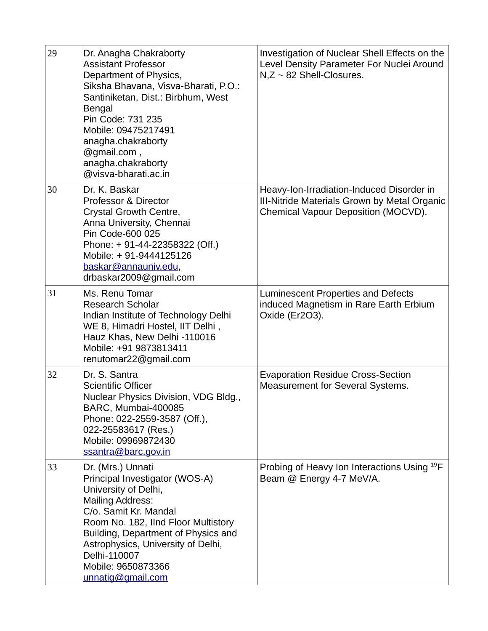| 29 | Dr. Anagha Chakraborty<br><b>Assistant Professor</b><br>Department of Physics,<br>Siksha Bhavana, Visva-Bharati, P.O.:<br>Santiniketan, Dist.: Birbhum, West<br><b>Bengal</b><br>Pin Code: 731 235<br>Mobile: 09475217491<br>anagha.chakraborty<br>@gmail.com,<br>anagha.chakraborty<br>@visva-bharati.ac.in   | Investigation of Nuclear Shell Effects on the<br>Level Density Parameter For Nuclei Around<br>$N$ , $Z \sim 82$ Shell-Closures.  |
|----|----------------------------------------------------------------------------------------------------------------------------------------------------------------------------------------------------------------------------------------------------------------------------------------------------------------|----------------------------------------------------------------------------------------------------------------------------------|
| 30 | Dr. K. Baskar<br><b>Professor &amp; Director</b><br>Crystal Growth Centre,<br>Anna University, Chennai<br>Pin Code-600 025<br>Phone: +91-44-22358322 (Off.)<br>Mobile: +91-9444125126<br>baskar@annauniv.edu,<br>drbaskar2009@gmail.com                                                                        | Heavy-Ion-Irradiation-Induced Disorder in<br>III-Nitride Materials Grown by Metal Organic<br>Chemical Vapour Deposition (MOCVD). |
| 31 | Ms. Renu Tomar<br><b>Research Scholar</b><br>Indian Institute of Technology Delhi<br>WE 8, Himadri Hostel, IIT Delhi,<br>Hauz Khas, New Delhi -110016<br>Mobile: +91 9873813411<br>renutomar22@gmail.com                                                                                                       | Luminescent Properties and Defects<br>induced Magnetism in Rare Earth Erbium<br>Oxide (Er2O3).                                   |
| 32 | Dr. S. Santra<br><b>Scientific Officer</b><br>Nuclear Physics Division, VDG Bldg.,<br>BARC, Mumbai-400085<br>Phone: 022-2559-3587 (Off.),<br>022-25583617 (Res.)<br>Mobile: 09969872430<br>ssantra@barc.gov.in                                                                                                 | <b>Evaporation Residue Cross-Section</b><br><b>Measurement for Several Systems.</b>                                              |
| 33 | Dr. (Mrs.) Unnati<br>Principal Investigator (WOS-A)<br>University of Delhi,<br><b>Mailing Address:</b><br>C/o. Samit Kr. Mandal<br>Room No. 182, IInd Floor Multistory<br>Building, Department of Physics and<br>Astrophysics, University of Delhi,<br>Delhi-110007<br>Mobile: 9650873366<br>unnatig@gmail.com | Probing of Heavy Ion Interactions Using <sup>19</sup> F<br>Beam @ Energy 4-7 MeV/A.                                              |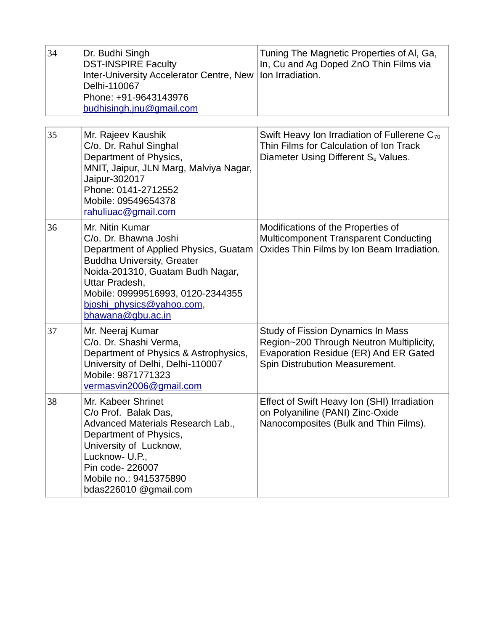| 34 | Dr. Budhi Singh<br><b>DST-INSPIRE Faculty</b><br>Inter-University Accelerator Centre, New<br>Delhi-110067<br>Phone: +91-9643143976<br>budhisingh.jnu@gmail.com                                                                                                      | Tuning The Magnetic Properties of AI, Ga,<br>In, Cu and Ag Doped ZnO Thin Films via<br>Ion Irradiation.                                                         |
|----|---------------------------------------------------------------------------------------------------------------------------------------------------------------------------------------------------------------------------------------------------------------------|-----------------------------------------------------------------------------------------------------------------------------------------------------------------|
| 35 | Mr. Rajeev Kaushik<br>C/o. Dr. Rahul Singhal<br>Department of Physics,<br>MNIT, Jaipur, JLN Marg, Malviya Nagar,<br>Jaipur-302017<br>Phone: 0141-2712552<br>Mobile: 09549654378<br>rahuliuac@gmail.com                                                              | Swift Heavy Ion Irradiation of Fullerene $C_{70}$<br>Thin Films for Calculation of Ion Track<br>Diameter Using Different S <sub>e</sub> Values.                 |
| 36 | Mr. Nitin Kumar<br>C/o. Dr. Bhawna Joshi<br>Department of Applied Physics, Guatam<br><b>Buddha University, Greater</b><br>Noida-201310, Guatam Budh Nagar,<br>Uttar Pradesh,<br>Mobile: 09999516993, 0120-2344355<br>bjoshi physics@yahoo.com,<br>bhawana@gbu.ac.in | Modifications of the Properties of<br>Multicomponent Transparent Conducting<br>Oxides Thin Films by Ion Beam Irradiation.                                       |
| 37 | Mr. Neeraj Kumar<br>C/o. Dr. Shashi Verma,<br>Department of Physics & Astrophysics,<br>University of Delhi, Delhi-110007<br>Mobile: 9871771323<br>vermasvin2006@gmail.com                                                                                           | <b>Study of Fission Dynamics In Mass</b><br>Region~200 Through Neutron Multiplicity,<br>Evaporation Residue (ER) And ER Gated<br>Spin Distrubution Measurement. |
| 38 | Mr. Kabeer Shrinet<br>C/o Prof. Balak Das,<br>Advanced Materials Research Lab.,<br>Department of Physics,<br>University of Lucknow,<br>Lucknow- U.P.,<br>Pin code- 226007<br>Mobile no.: 9415375890<br>bdas226010 @gmail.com                                        | Effect of Swift Heavy Ion (SHI) Irradiation<br>on Polyaniline (PANI) Zinc-Oxide<br>Nanocomposites (Bulk and Thin Films).                                        |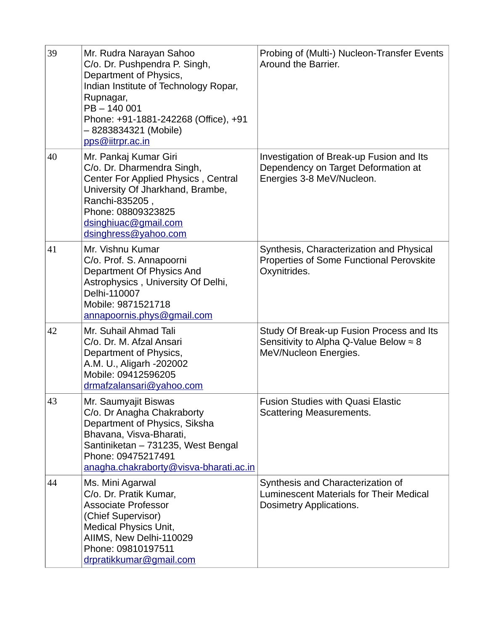| 39 | Mr. Rudra Narayan Sahoo<br>C/o. Dr. Pushpendra P. Singh,<br>Department of Physics,<br>Indian Institute of Technology Ropar,<br>Rupnagar,<br>PB-140001<br>Phone: +91-1881-242268 (Office), +91<br>– 8283834321 (Mobile)<br>pps@iitrpr.ac.in | Probing of (Multi-) Nucleon-Transfer Events<br>Around the Barrier.                                                  |
|----|--------------------------------------------------------------------------------------------------------------------------------------------------------------------------------------------------------------------------------------------|---------------------------------------------------------------------------------------------------------------------|
| 40 | Mr. Pankaj Kumar Giri<br>C/o. Dr. Dharmendra Singh,<br>Center For Applied Physics, Central<br>University Of Jharkhand, Brambe,<br>Ranchi-835205,<br>Phone: 08809323825<br>dsinghiuac@gmail.com<br>dsinghress@yahoo.com                     | Investigation of Break-up Fusion and Its<br>Dependency on Target Deformation at<br>Energies 3-8 MeV/Nucleon.        |
| 41 | Mr. Vishnu Kumar<br>C/o. Prof. S. Annapoorni<br>Department Of Physics And<br>Astrophysics, University Of Delhi,<br>Delhi-110007<br>Mobile: 9871521718<br>annapoornis.phys@gmail.com                                                        | Synthesis, Characterization and Physical<br>Properties of Some Functional Perovskite<br>Oxynitrides.                |
| 42 | Mr. Suhail Ahmad Tali<br>C/o. Dr. M. Afzal Ansari<br>Department of Physics,<br>A.M. U., Aligarh -202002<br>Mobile: 09412596205<br>drmafzalansari@yahoo.com                                                                                 | Study Of Break-up Fusion Process and Its<br>Sensitivity to Alpha Q-Value Below $\approx 8$<br>MeV/Nucleon Energies. |
| 43 | Mr. Saumyajit Biswas<br>C/o. Dr Anagha Chakraborty<br>Department of Physics, Siksha<br>Bhavana, Visva-Bharati,<br>Santiniketan - 731235, West Bengal<br>Phone: 09475217491<br>anagha.chakraborty@visva-bharati.ac.in                       | Fusion Studies with Quasi Elastic<br>Scattering Measurements.                                                       |
| 44 | Ms. Mini Agarwal<br>C/o. Dr. Pratik Kumar,<br><b>Associate Professor</b><br>(Chief Supervisor)<br><b>Medical Physics Unit,</b><br>AIIMS, New Delhi-110029<br>Phone: 09810197511<br>drpratikkumar@gmail.com                                 | Synthesis and Characterization of<br>Luminescent Materials for Their Medical<br><b>Dosimetry Applications.</b>      |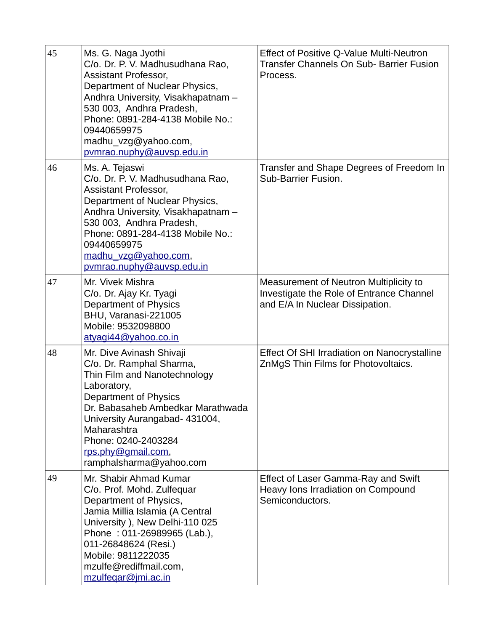| 45 | Ms. G. Naga Jyothi<br>C/o. Dr. P. V. Madhusudhana Rao,<br><b>Assistant Professor,</b><br>Department of Nuclear Physics,<br>Andhra University, Visakhapatnam -<br>530 003, Andhra Pradesh,<br>Phone: 0891-284-4138 Mobile No.:<br>09440659975<br>madhu vzg@yahoo.com,<br>pvmrao.nuphy@auvsp.edu.in | Effect of Positive Q-Value Multi-Neutron<br>Transfer Channels On Sub- Barrier Fusion<br>Process.                      |
|----|---------------------------------------------------------------------------------------------------------------------------------------------------------------------------------------------------------------------------------------------------------------------------------------------------|-----------------------------------------------------------------------------------------------------------------------|
| 46 | Ms. A. Tejaswi<br>C/o. Dr. P. V. Madhusudhana Rao,<br><b>Assistant Professor,</b><br>Department of Nuclear Physics,<br>Andhra University, Visakhapatnam -<br>530 003, Andhra Pradesh,<br>Phone: 0891-284-4138 Mobile No.:<br>09440659975<br>madhu vzg@yahoo.com,<br>pymrao.nuphy@auvsp.edu.in     | Transfer and Shape Degrees of Freedom In<br><b>Sub-Barrier Fusion.</b>                                                |
| 47 | Mr. Vivek Mishra<br>C/o. Dr. Ajay Kr. Tyagi<br>Department of Physics<br>BHU, Varanasi-221005<br>Mobile: 9532098800<br>atyagi44@yahoo.co.in                                                                                                                                                        | Measurement of Neutron Multiplicity to<br>Investigate the Role of Entrance Channel<br>and E/A In Nuclear Dissipation. |
| 48 | Mr. Dive Avinash Shivaji<br>C/o. Dr. Ramphal Sharma,<br>Thin Film and Nanotechnology<br>Laboratory,<br>Department of Physics<br>Dr. Babasaheb Ambedkar Marathwada<br>University Aurangabad- 431004,<br>Maharashtra<br>Phone: 0240-2403284<br>rps.phy@gmail.com,<br>ramphalsharma@yahoo.com        | Effect Of SHI Irradiation on Nanocrystalline<br>ZnMgS Thin Films for Photovoltaics.                                   |
| 49 | Mr. Shabir Ahmad Kumar<br>C/o. Prof. Mohd. Zulfequar<br>Department of Physics,<br>Jamia Millia Islamia (A Central<br>University ), New Delhi-110 025<br>Phone: 011-26989965 (Lab.),<br>011-26848624 (Resi.)<br>Mobile: 9811222035<br>mzulfe@rediffmail.com,<br>mzulfegar@jmi.ac.in                | <b>Effect of Laser Gamma-Ray and Swift</b><br>Heavy Ions Irradiation on Compound<br>Semiconductors.                   |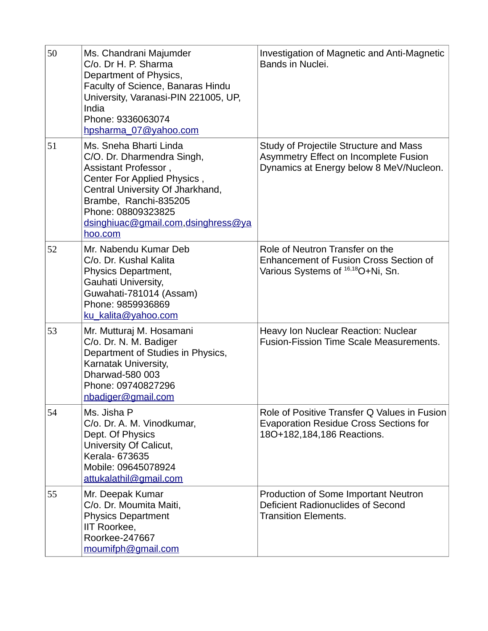| 50 | Ms. Chandrani Majumder<br>C/o. Dr H. P. Sharma<br>Department of Physics,<br>Faculty of Science, Banaras Hindu<br>University, Varanasi-PIN 221005, UP,<br>India<br>Phone: 9336063074<br>hpsharma 07@yahoo.com                                    | Investigation of Magnetic and Anti-Magnetic<br>Bands in Nuclei.                                                                   |
|----|-------------------------------------------------------------------------------------------------------------------------------------------------------------------------------------------------------------------------------------------------|-----------------------------------------------------------------------------------------------------------------------------------|
| 51 | Ms. Sneha Bharti Linda<br>C/O. Dr. Dharmendra Singh,<br>Assistant Professor,<br>Center For Applied Physics,<br>Central University Of Jharkhand,<br>Brambe, Ranchi-835205<br>Phone: 08809323825<br>dsinghiuac@gmail.com,dsinghress@ya<br>hoo.com | Study of Projectile Structure and Mass<br>Asymmetry Effect on Incomplete Fusion<br>Dynamics at Energy below 8 MeV/Nucleon.        |
| 52 | Mr. Nabendu Kumar Deb<br>C/o. Dr. Kushal Kalita<br>Physics Department,<br>Gauhati University,<br>Guwahati-781014 (Assam)<br>Phone: 9859936869<br>ku kalita@yahoo.com                                                                            | Role of Neutron Transfer on the<br><b>Enhancement of Fusion Cross Section of</b><br>Various Systems of <sup>16,18</sup> O+Ni, Sn. |
| 53 | Mr. Mutturaj M. Hosamani<br>C/o. Dr. N. M. Badiger<br>Department of Studies in Physics,<br>Karnatak University,<br>Dharwad-580 003<br>Phone: 09740827296<br>nbadiger@gmail.com                                                                  | <b>Heavy Ion Nuclear Reaction: Nuclear</b><br><b>Fusion-Fission Time Scale Measurements.</b>                                      |
| 54 | Ms. Jisha P<br>C/o. Dr. A. M. Vinodkumar,<br>Dept. Of Physics<br>University Of Calicut,<br>Kerala- 673635<br>Mobile: 09645078924<br>attukalathil@gmail.com                                                                                      | Role of Positive Transfer Q Values in Fusion<br><b>Evaporation Residue Cross Sections for</b><br>18O+182,184,186 Reactions.       |
| 55 | Mr. Deepak Kumar<br>C/o. Dr. Moumita Maiti,<br><b>Physics Department</b><br>IIT Roorkee,<br>Roorkee-247667<br>moumifph@gmail.com                                                                                                                | <b>Production of Some Important Neutron</b><br>Deficient Radionuclides of Second<br><b>Transition Elements.</b>                   |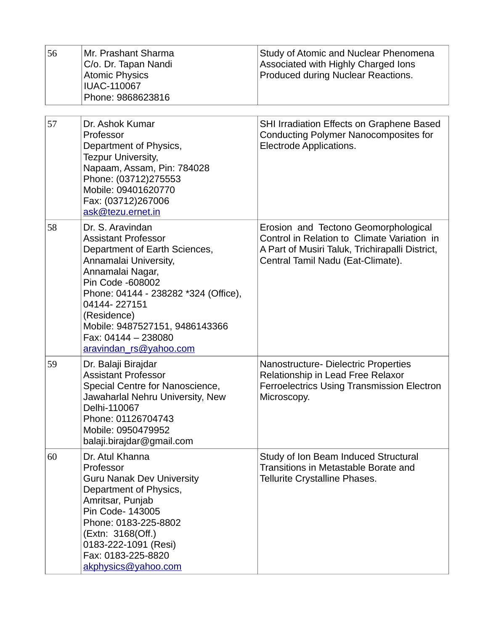| 56 | Mr. Prashant Sharma<br>C/o. Dr. Tapan Nandi<br><b>Atomic Physics</b><br><b>IUAC-110067</b><br>Phone: 9868623816                                                                                                                                                                                            | Study of Atomic and Nuclear Phenomena<br>Associated with Highly Charged Ions<br>Produced during Nuclear Reactions.                                                          |
|----|------------------------------------------------------------------------------------------------------------------------------------------------------------------------------------------------------------------------------------------------------------------------------------------------------------|-----------------------------------------------------------------------------------------------------------------------------------------------------------------------------|
| 57 | Dr. Ashok Kumar<br>Professor<br>Department of Physics,<br>Tezpur University,<br>Napaam, Assam, Pin: 784028<br>Phone: (03712)275553<br>Mobile: 09401620770<br>Fax: (03712)267006<br>ask@tezu.ernet.in                                                                                                       | SHI Irradiation Effects on Graphene Based<br>Conducting Polymer Nanocomposites for<br>Electrode Applications.                                                               |
| 58 | Dr. S. Aravindan<br><b>Assistant Professor</b><br>Department of Earth Sciences,<br>Annamalai University,<br>Annamalai Nagar,<br>Pin Code -608002<br>Phone: 04144 - 238282 *324 (Office),<br>04144-227151<br>(Residence)<br>Mobile: 9487527151, 9486143366<br>Fax: 04144 - 238080<br>aravindan rs@yahoo.com | Erosion and Tectono Geomorphological<br>Control in Relation to Climate Variation in<br>A Part of Musiri Taluk, Trichirapalli District,<br>Central Tamil Nadu (Eat-Climate). |
| 59 | Dr. Balaji Birajdar<br><b>Assistant Professor</b><br>Special Centre for Nanoscience,<br>Jawaharlal Nehru University, New<br>Delhi-110067<br>Phone: 01126704743<br>Mobile: 0950479952<br>balaji.birajdar@gmail.com                                                                                          | Nanostructure- Dielectric Properties<br>Relationship in Lead Free Relaxor<br><b>Ferroelectrics Using Transmission Electron</b><br>Microscopy.                               |
| 60 | Dr. Atul Khanna<br>Professor<br><b>Guru Nanak Dev University</b><br>Department of Physics,<br>Amritsar, Punjab<br>Pin Code- 143005<br>Phone: 0183-225-8802<br>(Extn: 3168(Off.)<br>0183-222-1091 (Resi)<br>Fax: 0183-225-8820<br>akphysics@yahoo.com                                                       | Study of Ion Beam Induced Structural<br>Transitions in Metastable Borate and<br>Tellurite Crystalline Phases.                                                               |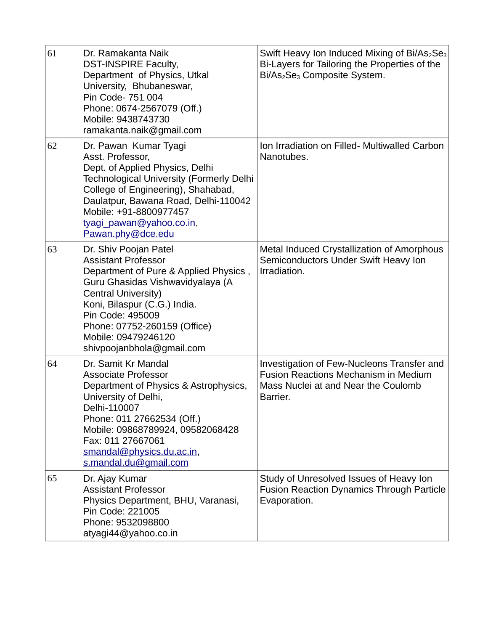| 61 | Dr. Ramakanta Naik<br><b>DST-INSPIRE Faculty,</b><br>Department of Physics, Utkal<br>University, Bhubaneswar,<br>Pin Code- 751 004<br>Phone: 0674-2567079 (Off.)<br>Mobile: 9438743730<br>ramakanta.naik@gmail.com                                                                              | Swift Heavy Ion Induced Mixing of Bi/As <sub>2</sub> Se <sub>3</sub><br>Bi-Layers for Tailoring the Properties of the<br>Bi/As <sub>2</sub> Se <sub>3</sub> Composite System. |
|----|-------------------------------------------------------------------------------------------------------------------------------------------------------------------------------------------------------------------------------------------------------------------------------------------------|-------------------------------------------------------------------------------------------------------------------------------------------------------------------------------|
| 62 | Dr. Pawan Kumar Tyagi<br>Asst. Professor,<br>Dept. of Applied Physics, Delhi<br><b>Technological University (Formerly Delhi</b><br>College of Engineering), Shahabad,<br>Daulatpur, Bawana Road, Delhi-110042<br>Mobile: +91-8800977457<br>tyagi pawan@yahoo.co.in,<br>Pawan.phy@dce.edu        | Ion Irradiation on Filled- Multiwalled Carbon<br>Nanotubes.                                                                                                                   |
| 63 | Dr. Shiv Poojan Patel<br><b>Assistant Professor</b><br>Department of Pure & Applied Physics,<br>Guru Ghasidas Vishwavidyalaya (A<br>Central University)<br>Koni, Bilaspur (C.G.) India.<br>Pin Code: 495009<br>Phone: 07752-260159 (Office)<br>Mobile: 09479246120<br>shivpoojanbhola@gmail.com | <b>Metal Induced Crystallization of Amorphous</b><br>Semiconductors Under Swift Heavy Ion<br>Irradiation.                                                                     |
| 64 | Dr. Samit Kr Mandal<br><b>Associate Professor</b><br>Department of Physics & Astrophysics,<br>University of Delhi,<br>Delhi-110007<br>Phone: 011 27662534 (Off.)<br>Mobile: 09868789924, 09582068428<br>Fax: 011 27667061<br>smandal@physics.du.ac.in,<br>s.mandal.du@qmail.com                 | Investigation of Few-Nucleons Transfer and<br><b>Fusion Reactions Mechanism in Medium</b><br>Mass Nuclei at and Near the Coulomb<br>Barrier.                                  |
| 65 | Dr. Ajay Kumar<br><b>Assistant Professor</b><br>Physics Department, BHU, Varanasi,<br>Pin Code: 221005<br>Phone: 9532098800<br>atyagi44@yahoo.co.in                                                                                                                                             | Study of Unresolved Issues of Heavy Ion<br><b>Fusion Reaction Dynamics Through Particle</b><br>Evaporation.                                                                   |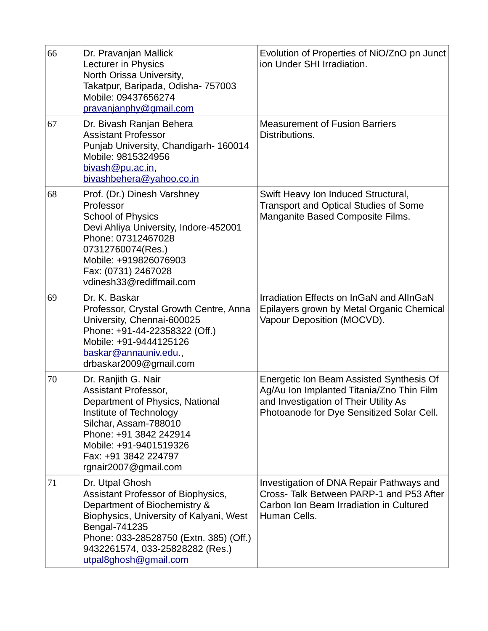| 66 | Dr. Pravanjan Mallick<br>Lecturer in Physics<br>North Orissa University,<br>Takatpur, Baripada, Odisha- 757003<br>Mobile: 09437656274<br>pravanjanphy@gmail.com                                                                                         | Evolution of Properties of NiO/ZnO pn Junct<br>ion Under SHI Irradiation.                                                                                                   |
|----|---------------------------------------------------------------------------------------------------------------------------------------------------------------------------------------------------------------------------------------------------------|-----------------------------------------------------------------------------------------------------------------------------------------------------------------------------|
| 67 | Dr. Bivash Ranjan Behera<br><b>Assistant Professor</b><br>Punjab University, Chandigarh-160014<br>Mobile: 9815324956<br>bivash@pu.ac.in,<br>bivashbehera@yahoo.co.in                                                                                    | <b>Measurement of Fusion Barriers</b><br>Distributions.                                                                                                                     |
| 68 | Prof. (Dr.) Dinesh Varshney<br>Professor<br><b>School of Physics</b><br>Devi Ahliya University, Indore-452001<br>Phone: 07312467028<br>07312760074(Res.)<br>Mobile: +919826076903<br>Fax: (0731) 2467028<br>vdinesh33@rediffmail.com                    | Swift Heavy Ion Induced Structural,<br><b>Transport and Optical Studies of Some</b><br>Manganite Based Composite Films.                                                     |
| 69 | Dr. K. Baskar<br>Professor, Crystal Growth Centre, Anna<br>University, Chennai-600025<br>Phone: +91-44-22358322 (Off.)<br>Mobile: +91-9444125126<br>baskar@annauniv.edu.,<br>drbaskar2009@gmail.com                                                     | Irradiation Effects on InGaN and AlInGaN<br>Epilayers grown by Metal Organic Chemical<br>Vapour Deposition (MOCVD).                                                         |
| 70 | Dr. Ranjith G. Nair<br><b>Assistant Professor,</b><br>Department of Physics, National<br>Institute of Technology<br>Silchar, Assam-788010<br>Phone: +91 3842 242914<br>Mobile: +91-9401519326<br>Fax: +91 3842 224797<br>rgnair2007@gmail.com           | Energetic Ion Beam Assisted Synthesis Of<br>Ag/Au Ion Implanted Titania/Zno Thin Film<br>and Investigation of Their Utility As<br>Photoanode for Dye Sensitized Solar Cell. |
| 71 | Dr. Utpal Ghosh<br>Assistant Professor of Biophysics,<br>Department of Biochemistry &<br>Biophysics, University of Kalyani, West<br>Bengal-741235<br>Phone: 033-28528750 (Extn. 385) (Off.)<br>9432261574, 033-25828282 (Res.)<br>utpal8ghosh@gmail.com | Investigation of DNA Repair Pathways and<br>Cross- Talk Between PARP-1 and P53 After<br>Carbon Ion Beam Irradiation in Cultured<br>Human Cells.                             |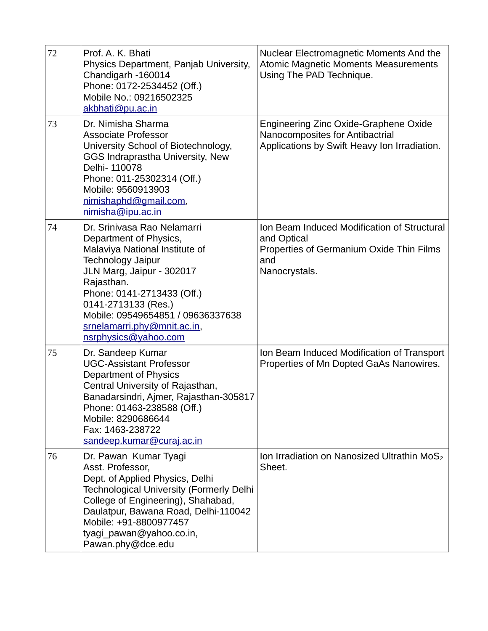| 72 | Prof. A. K. Bhati<br>Physics Department, Panjab University,<br>Chandigarh -160014<br>Phone: 0172-2534452 (Off.)<br>Mobile No.: 09216502325<br>akbhati@pu.ac.in                                                                                                                                                  | Nuclear Electromagnetic Moments And the<br><b>Atomic Magnetic Moments Measurements</b><br>Using The PAD Technique.             |
|----|-----------------------------------------------------------------------------------------------------------------------------------------------------------------------------------------------------------------------------------------------------------------------------------------------------------------|--------------------------------------------------------------------------------------------------------------------------------|
| 73 | Dr. Nimisha Sharma<br><b>Associate Professor</b><br>University School of Biotechnology,<br>GGS Indraprastha University, New<br>Delhi- 110078<br>Phone: 011-25302314 (Off.)<br>Mobile: 9560913903<br>nimishaphd@gmail.com,<br>nimisha@ipu.ac.in                                                                  | Engineering Zinc Oxide-Graphene Oxide<br>Nanocomposites for Antibactrial<br>Applications by Swift Heavy Ion Irradiation.       |
| 74 | Dr. Srinivasa Rao Nelamarri<br>Department of Physics,<br>Malaviya National Institute of<br><b>Technology Jaipur</b><br>JLN Marg, Jaipur - 302017<br>Rajasthan.<br>Phone: 0141-2713433 (Off.)<br>0141-2713133 (Res.)<br>Mobile: 09549654851 / 09636337638<br>srnelamarri.phy@mnit.ac.in,<br>nsrphysics@yahoo.com | Ion Beam Induced Modification of Structural<br>and Optical<br>Properties of Germanium Oxide Thin Films<br>and<br>Nanocrystals. |
| 75 | Dr. Sandeep Kumar<br><b>UGC-Assistant Professor</b><br>Department of Physics<br>Central University of Rajasthan,<br>Banadarsindri, Ajmer, Rajasthan-305817<br>Phone: 01463-238588 (Off.)<br>Mobile: 8290686644<br>Fax: 1463-238722<br>sandeep.kumar@curaj.ac.in                                                 | Ion Beam Induced Modification of Transport<br>Properties of Mn Dopted GaAs Nanowires.                                          |
| 76 | Dr. Pawan Kumar Tyagi<br>Asst. Professor,<br>Dept. of Applied Physics, Delhi<br><b>Technological University (Formerly Delhi</b><br>College of Engineering), Shahabad,<br>Daulatpur, Bawana Road, Delhi-110042<br>Mobile: +91-8800977457<br>tyagi pawan@yahoo.co.in,<br>Pawan.phy@dce.edu                        | Ion Irradiation on Nanosized Ultrathin MoS <sub>2</sub><br>Sheet.                                                              |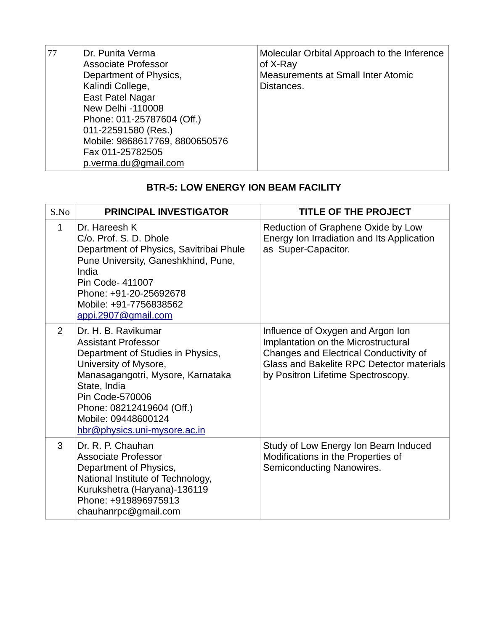| Dr. Punita Verma<br>77<br><b>Associate Professor</b><br>Department of Physics,<br>Kalindi College,<br><b>East Patel Nagar</b><br>New Delhi -110008<br>Phone: 011-25787604 (Off.)<br>011-22591580 (Res.)<br>Mobile: 9868617769, 8800650576<br>Fax 011-25782505<br>p.verma.du@gmail.com | Molecular Orbital Approach to the Inference<br>of X-Ray<br>Measurements at Small Inter Atomic<br>Distances. |
|---------------------------------------------------------------------------------------------------------------------------------------------------------------------------------------------------------------------------------------------------------------------------------------|-------------------------------------------------------------------------------------------------------------|
|---------------------------------------------------------------------------------------------------------------------------------------------------------------------------------------------------------------------------------------------------------------------------------------|-------------------------------------------------------------------------------------------------------------|

## **BTR-5: LOW ENERGY ION BEAM FACILITY**

| S.No         | <b>PRINCIPAL INVESTIGATOR</b>                                                                                                                                                                                                                                               | <b>TITLE OF THE PROJECT</b>                                                                                                                                                                           |
|--------------|-----------------------------------------------------------------------------------------------------------------------------------------------------------------------------------------------------------------------------------------------------------------------------|-------------------------------------------------------------------------------------------------------------------------------------------------------------------------------------------------------|
| $\mathbf{1}$ | Dr. Hareesh K<br>C/o. Prof. S. D. Dhole<br>Department of Physics, Savitribai Phule<br>Pune University, Ganeshkhind, Pune,<br>India<br>Pin Code- 411007<br>Phone: +91-20-25692678<br>Mobile: +91-7756838562<br>appi.2907@gmail.com                                           | Reduction of Graphene Oxide by Low<br>Energy Ion Irradiation and Its Application<br>as Super-Capacitor.                                                                                               |
| 2            | Dr. H. B. Ravikumar<br><b>Assistant Professor</b><br>Department of Studies in Physics,<br>University of Mysore,<br>Manasagangotri, Mysore, Karnataka<br>State, India<br>Pin Code-570006<br>Phone: 08212419604 (Off.)<br>Mobile: 09448600124<br>hbr@physics.uni-mysore.ac.in | Influence of Oxygen and Argon Ion<br>Implantation on the Microstructural<br>Changes and Electrical Conductivity of<br>Glass and Bakelite RPC Detector materials<br>by Positron Lifetime Spectroscopy. |
| 3            | Dr. R. P. Chauhan<br><b>Associate Professor</b><br>Department of Physics,<br>National Institute of Technology,<br>Kurukshetra (Haryana)-136119<br>Phone: +919896975913<br>chauhanrpc@gmail.com                                                                              | Study of Low Energy Ion Beam Induced<br>Modifications in the Properties of<br>Semiconducting Nanowires.                                                                                               |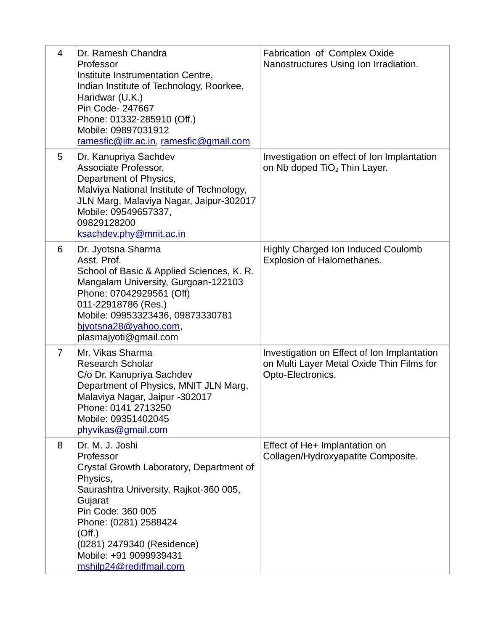| $\overline{4}$ | Dr. Ramesh Chandra<br>Professor<br>Institute Instrumentation Centre,<br>Indian Institute of Technology, Roorkee,<br>Haridwar (U.K.)<br>Pin Code- 247667<br>Phone: 01332-285910 (Off.)<br>Mobile: 09897031912<br>ramesfic@iitr.ac.in, ramesfic@gmail.com                              | Fabrication of Complex Oxide<br>Nanostructures Using Ion Irradiation.                                         |
|----------------|--------------------------------------------------------------------------------------------------------------------------------------------------------------------------------------------------------------------------------------------------------------------------------------|---------------------------------------------------------------------------------------------------------------|
| 5              | Dr. Kanupriya Sachdev<br>Associate Professor,<br>Department of Physics,<br>Malviya National Institute of Technology,<br>JLN Marg, Malaviya Nagar, Jaipur-302017<br>Mobile: 09549657337,<br>09829128200<br>ksachdev.phy@mnit.ac.in                                                    | Investigation on effect of Ion Implantation<br>on Nb doped TiO <sub>2</sub> Thin Layer.                       |
| 6              | Dr. Jyotsna Sharma<br>Asst. Prof.<br>School of Basic & Applied Sciences, K. R.<br>Mangalam University, Gurgoan-122103<br>Phone: 07042929561 (Off)<br>011-22918786 (Res.)<br>Mobile: 09953323436, 09873330781<br>bjyotsna28@yahoo.com,<br>plasmajyoti@gmail.com                       | <b>Highly Charged Ion Induced Coulomb</b><br>Explosion of Halomethanes.                                       |
| $\overline{7}$ | Mr. Vikas Sharma<br><b>Research Scholar</b><br>C/o Dr. Kanupriya Sachdev<br>Department of Physics, MNIT JLN Marg,<br>Malaviya Nagar, Jaipur -302017<br>Phone: 0141 2713250<br>Mobile: 09351402045<br>phyvikas@gmail.com                                                              | Investigation on Effect of Ion Implantation<br>on Multi Layer Metal Oxide Thin Films for<br>Opto-Electronics. |
| 8              | Dr. M. J. Joshi<br>Professor<br>Crystal Growth Laboratory, Department of<br>Physics,<br>Saurashtra University, Rajkot-360 005,<br>Gujarat<br>Pin Code: 360 005<br>Phone: (0281) 2588424<br>(Off.)<br>(0281) 2479340 (Residence)<br>Mobile: +91 9099939431<br>mshilp24@rediffmail.com | Effect of He+ Implantation on<br>Collagen/Hydroxyapatite Composite.                                           |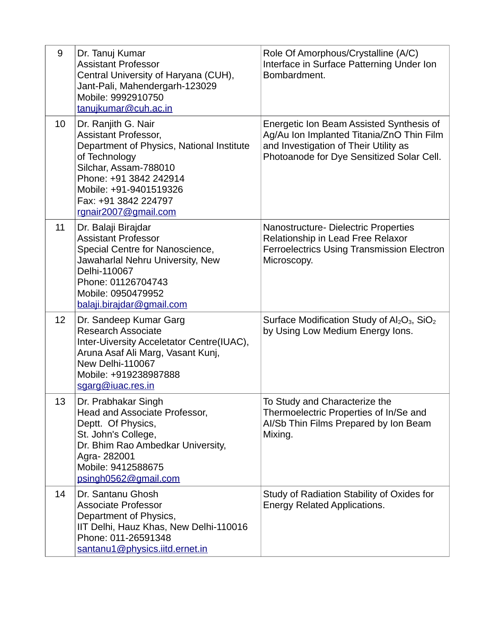| 9  | Dr. Tanuj Kumar<br><b>Assistant Professor</b><br>Central University of Haryana (CUH),<br>Jant-Pali, Mahendergarh-123029<br>Mobile: 9992910750<br>tanujkumar@cuh.ac.in                                                                         | Role Of Amorphous/Crystalline (A/C)<br>Interface in Surface Patterning Under Ion<br>Bombardment.                                                                            |
|----|-----------------------------------------------------------------------------------------------------------------------------------------------------------------------------------------------------------------------------------------------|-----------------------------------------------------------------------------------------------------------------------------------------------------------------------------|
| 10 | Dr. Ranjith G. Nair<br><b>Assistant Professor,</b><br>Department of Physics, National Institute<br>of Technology<br>Silchar, Assam-788010<br>Phone: +91 3842 242914<br>Mobile: +91-9401519326<br>Fax: +91 3842 224797<br>rgnair2007@gmail.com | Energetic Ion Beam Assisted Synthesis of<br>Ag/Au Ion Implanted Titania/ZnO Thin Film<br>and Investigation of Their Utility as<br>Photoanode for Dye Sensitized Solar Cell. |
| 11 | Dr. Balaji Birajdar<br><b>Assistant Professor</b><br>Special Centre for Nanoscience,<br>Jawaharlal Nehru University, New<br>Delhi-110067<br>Phone: 01126704743<br>Mobile: 0950479952<br>balaji.birajdar@gmail.com                             | Nanostructure- Dielectric Properties<br>Relationship in Lead Free Relaxor<br><b>Ferroelectrics Using Transmission Electron</b><br>Microscopy.                               |
| 12 | Dr. Sandeep Kumar Garg<br><b>Research Associate</b><br>Inter-Uiversity Acceletator Centre(IUAC),<br>Aruna Asaf Ali Marg, Vasant Kunj,<br>New Delhi-110067<br>Mobile: +919238987888<br>sgarg@iuac.res.in                                       | Surface Modification Study of Al <sub>2</sub> O <sub>3</sub> , SiO <sub>2</sub><br>by Using Low Medium Energy Ions.                                                         |
| 13 | Dr. Prabhakar Singh<br>Head and Associate Professor,<br>Deptt. Of Physics,<br>St. John's College,<br>Dr. Bhim Rao Ambedkar University,<br>Agra-282001<br>Mobile: 9412588675<br>psingh0562@gmail.com                                           | To Study and Characterize the<br>Thermoelectric Properties of In/Se and<br>Al/Sb Thin Films Prepared by Ion Beam<br>Mixing.                                                 |
| 14 | Dr. Santanu Ghosh<br><b>Associate Professor</b><br>Department of Physics,<br>IIT Delhi, Hauz Khas, New Delhi-110016<br>Phone: 011-26591348<br>santanu1@physics.iitd.ernet.in                                                                  | Study of Radiation Stability of Oxides for<br><b>Energy Related Applications.</b>                                                                                           |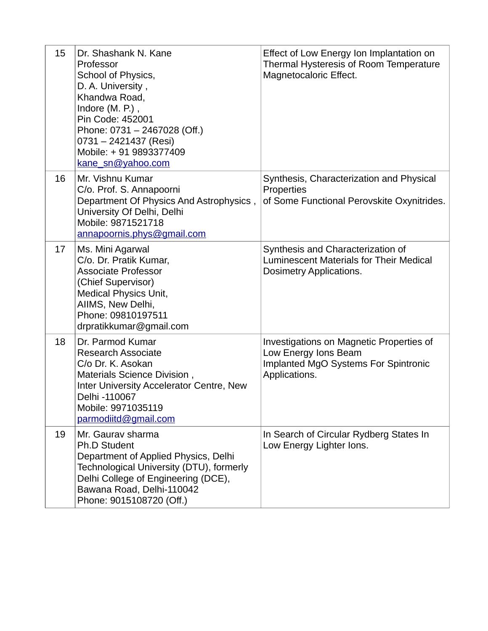| 15 | Dr. Shashank N. Kane<br>Professor<br>School of Physics,<br>D. A. University,<br>Khandwa Road,<br>Indore (M. P.),<br>Pin Code: 452001<br>Phone: 0731 - 2467028 (Off.)<br>0731 - 2421437 (Resi)<br>Mobile: +91 9893377409<br>kane sn@yahoo.com | Effect of Low Energy Ion Implantation on<br>Thermal Hysteresis of Room Temperature<br>Magnetocaloric Effect.              |
|----|----------------------------------------------------------------------------------------------------------------------------------------------------------------------------------------------------------------------------------------------|---------------------------------------------------------------------------------------------------------------------------|
| 16 | Mr. Vishnu Kumar<br>C/o. Prof. S. Annapoorni<br>Department Of Physics And Astrophysics,<br>University Of Delhi, Delhi<br>Mobile: 9871521718<br>annapoornis.phys@gmail.com                                                                    | Synthesis, Characterization and Physical<br>Properties<br>of Some Functional Perovskite Oxynitrides.                      |
| 17 | Ms. Mini Agarwal<br>C/o. Dr. Pratik Kumar,<br><b>Associate Professor</b><br>(Chief Supervisor)<br><b>Medical Physics Unit,</b><br>AIIMS, New Delhi,<br>Phone: 09810197511<br>drpratikkumar@gmail.com                                         | Synthesis and Characterization of<br>Luminescent Materials for Their Medical<br>Dosimetry Applications.                   |
| 18 | Dr. Parmod Kumar<br><b>Research Associate</b><br>C/o Dr. K. Asokan<br>Materials Science Division,<br>Inter University Accelerator Centre, New<br>Delhi -110067<br>Mobile: 9971035119<br>parmodiitd@gmail.com                                 | Investigations on Magnetic Properties of<br>Low Energy Ions Beam<br>Implanted MgO Systems For Spintronic<br>Applications. |
| 19 | Mr. Gaurav sharma<br>Ph.D Student<br>Department of Applied Physics, Delhi<br>Technological University (DTU), formerly<br>Delhi College of Engineering (DCE),<br>Bawana Road, Delhi-110042<br>Phone: 9015108720 (Off.)                        | In Search of Circular Rydberg States In<br>Low Energy Lighter Ions.                                                       |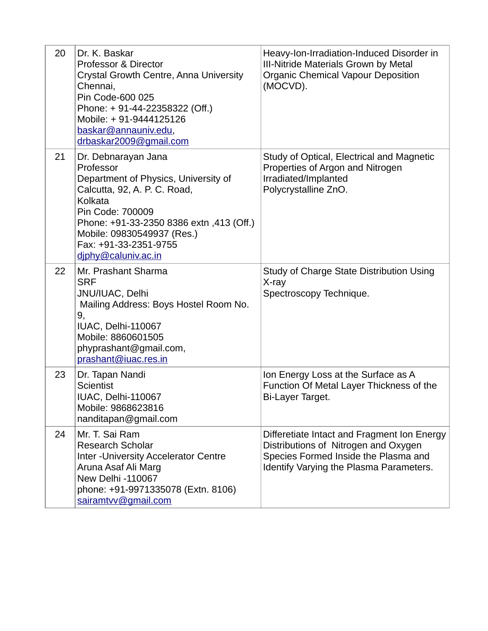| 20 | Dr. K. Baskar<br><b>Professor &amp; Director</b><br>Crystal Growth Centre, Anna University<br>Chennai,<br>Pin Code-600 025<br>Phone: + 91-44-22358322 (Off.)<br>Mobile: +91-9444125126<br>baskar@annauniv.edu,<br>drbaskar2009@gmail.com                          | Heavy-Ion-Irradiation-Induced Disorder in<br><b>III-Nitride Materials Grown by Metal</b><br><b>Organic Chemical Vapour Deposition</b><br>(MOCVD).                      |
|----|-------------------------------------------------------------------------------------------------------------------------------------------------------------------------------------------------------------------------------------------------------------------|------------------------------------------------------------------------------------------------------------------------------------------------------------------------|
| 21 | Dr. Debnarayan Jana<br>Professor<br>Department of Physics, University of<br>Calcutta, 92, A. P. C. Road,<br>Kolkata<br>Pin Code: 700009<br>Phone: +91-33-2350 8386 extn, 413 (Off.)<br>Mobile: 09830549937 (Res.)<br>Fax: +91-33-2351-9755<br>diphy@caluniv.ac.in | Study of Optical, Electrical and Magnetic<br>Properties of Argon and Nitrogen<br>Irradiated/Implanted<br>Polycrystalline ZnO.                                          |
| 22 | Mr. Prashant Sharma<br><b>SRF</b><br>JNU/IUAC, Delhi<br>Mailing Address: Boys Hostel Room No.<br>9,<br>IUAC, Delhi-110067<br>Mobile: 8860601505<br>phyprashant@gmail.com,<br>prashant@iuac.res.in                                                                 | Study of Charge State Distribution Using<br>X-ray<br>Spectroscopy Technique.                                                                                           |
| 23 | Dr. Tapan Nandi<br><b>Scientist</b><br>IUAC, Delhi-110067<br>Mobile: 9868623816<br>nanditapan@gmail.com                                                                                                                                                           | Ion Energy Loss at the Surface as A<br>Function Of Metal Layer Thickness of the<br><b>Bi-Layer Target.</b>                                                             |
| 24 | Mr. T. Sai Ram<br><b>Research Scholar</b><br><b>Inter-University Accelerator Centre</b><br>Aruna Asaf Ali Marg<br>New Delhi -110067<br>phone: +91-9971335078 (Extn. 8106)<br>sairamtvv@gmail.com                                                                  | Differetiate Intact and Fragment Ion Energy<br>Distributions of Nitrogen and Oxygen<br>Species Formed Inside the Plasma and<br>Identify Varying the Plasma Parameters. |